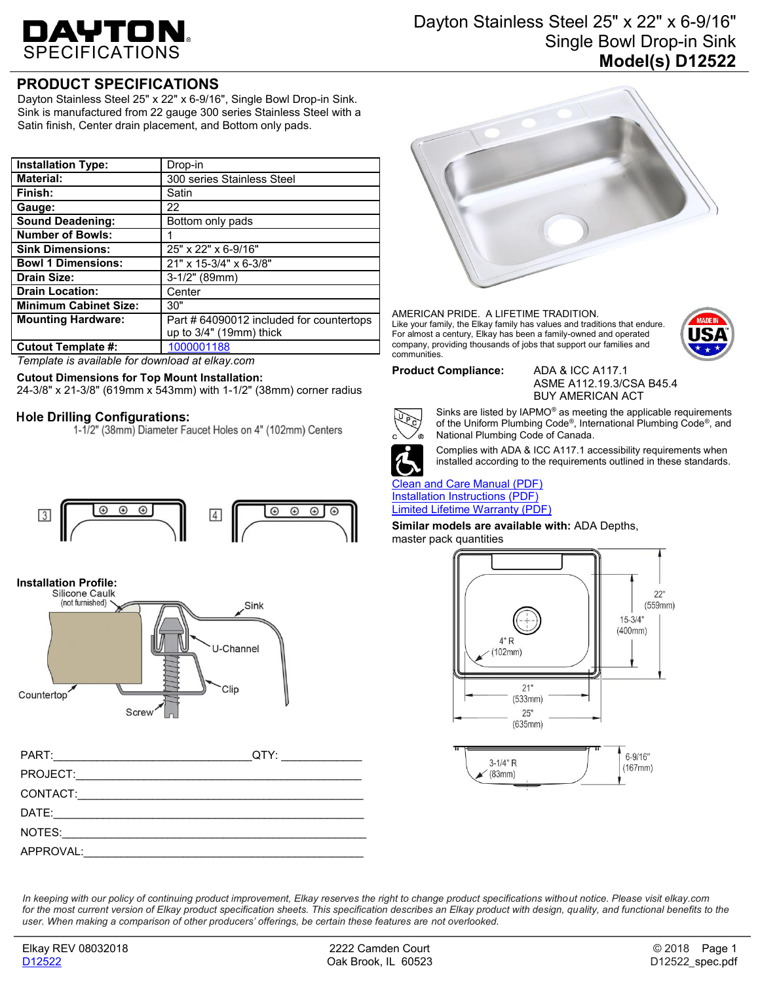# DAYTON.

# Dayton Stainless Steel 25" x 22" x 6-9/16" Single Bowl Drop-in Sink **Model(s) D12522**

# **PRODUCT SPECIFICATIONS**

Dayton Stainless Steel 25" x 22" x 6-9/16", Single Bowl Drop-in Sink. Sink is manufactured from 22 gauge 300 series Stainless Steel with a Satin finish, Center drain placement, and Bottom only pads.

| <b>Installation Type:</b>    | Drop-in                                  |
|------------------------------|------------------------------------------|
| <b>Material:</b>             | 300 series Stainless Steel               |
| Finish:                      | Satin                                    |
| Gauge:                       | 22                                       |
| <b>Sound Deadening:</b>      | Bottom only pads                         |
| <b>Number of Bowls:</b>      |                                          |
| <b>Sink Dimensions:</b>      | 25" x 22" x 6-9/16"                      |
| <b>Bowl 1 Dimensions:</b>    | 21" x 15-3/4" x 6-3/8"                   |
| <b>Drain Size:</b>           | $3-1/2"$ (89mm)                          |
| <b>Drain Location:</b>       | Center                                   |
| <b>Minimum Cabinet Size:</b> | 30"                                      |
| <b>Mounting Hardware:</b>    | Part # 64090012 included for countertops |
|                              | up to $3/4"$ (19mm) thick                |
| <b>Cutout Template #:</b>    | 1000001188                               |

*Template is available for download at elkay.com*

## **Cutout Dimensions for Top Mount Installation:**

24-3/8" x 21-3/8" (619mm x 543mm) with 1-1/2" (38mm) corner radius

## **Hole Drilling Configurations:**

1-1/2" (38mm) Diameter Faucet Holes on 4" (102mm) Centers



**Installation Profile:**



| PART:     | QTY: |
|-----------|------|
| PROJECT:  |      |
| CONTACT:  |      |
| DATE:     |      |
| NOTES:    |      |
| APPROVAL: |      |



AMERICAN PRIDE. A LIFETIME TRADITION. Like your family, the Elkay family has values and traditions that endure. For almost a century, Elkay has been a family-owned and operated company, providing thousands of jobs that support our families and communities.



#### **Product Compliance:** ADA & ICC A117.1

ASME A112.19.3/CSA B45.4 BUY AMERICAN ACT



Sinks are listed by IAPMO® as meeting the applicable requirements of the Uniform Plumbing Code®, International Plumbing Code®, and National Plumbing Code of Canada.



Complies with ADA & ICC A117.1 accessibility requirements when installed according to the requirements outlined in these standards.

### [Clean and Care](http://www.elkay.com/wcsstore/lkdocs/care-cleaning-install-warranty-sheets/residential%20and%20commercial%20care%20%20cleaning.pdf) Manual (PDF) [Installation Instructions \(PDF\)](http://www.elkay.com/wcsstore/lkdocs/care-cleaning-install-warranty-sheets/64180036.pdf) [Limited Lifetime](http://www.elkay.com/wcsstore/lkdocs/care-cleaning-install-warranty-sheets/residential%20sinks%20warranty.pdf) Warranty (PDF)

**Similar models are available with:** ADA Depths,

master pack quantities



In keeping with our policy of continuing product improvement, Elkay reserves the right to change product specifications without notice. Please visit elkay.com for the most current version of Elkay product specification sheets. This specification describes an Elkay product with design, quality, and functional benefits to the *user. When making a comparison of other producers' offerings, be certain these features are not overlooked.*